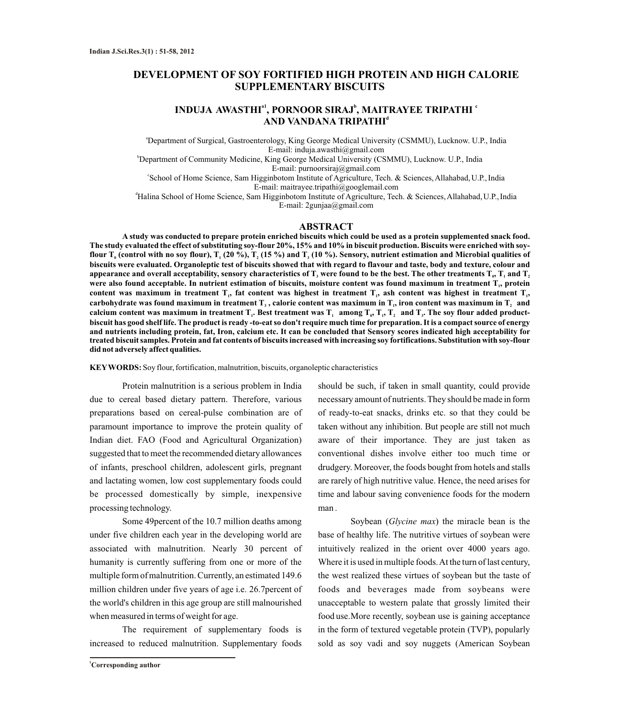# **DEVELOPMENT OF SOY FORTIFIED HIGH PROTEIN AND HIGH CALORIE SUPPLEMENTARY BISCUITS**

# **a1 b c INDUJA AWASTHI , PORNOOR SIRAJ , MAITRAYEE TRIPATHI <sup>d</sup> AND VANDANA TRIPATHI**

<sup>a</sup>Department of Surgical, Gastroenterology, King George Medical University (CSMMU), Lucknow. U.P., India E-mail: induja.awasthi@gmail.com

<sup>b</sup>Department of Community Medicine, King George Medical University (CSMMU), Lucknow. U.P., India E-mail: purnoorsiraj@gmail.com

'School of Home Science, Sam Higginbotom Institute of Agriculture, Tech. & Sciences, Allahabad, U.P., India E-mail: maitrayee.tripathi@googlemail.com

<sup>d</sup>Halina School of Home Science, Sam Higginbotom Institute of Agriculture, Tech. & Sciences, Allahabad, U.P., India E-mail: 2gunjaa@gmail.com

#### **ABSTRACT**

**A study was conducted to prepare protein enriched biscuits which could be used as a protein supplemented snack food. The study evaluated the effect of substituting soy-flour 20%, 15% and 10% in biscuit production. Biscuits were enriched with soyflour T**<sub>**<sup>** $>$ **</sub> (control with no soy flour), T<sub>1</sub> (20 %), T<sub>2</sub> (15 %) and T<sub>3</sub> (10 %). Sensory, nutrient estimation and Microbial qualities of</sub>**</sup> **biscuits were evaluated. Organoleptic test of biscuits showed that with regard to flavour and taste, body and texture, colour and**  appearance and overall acceptability, sensory characteristics of  $\mathbf{T}_\textsf{3}$  were found to be the best. The other treatments  $\mathbf{T}_\textsf{0},\mathbf{T}_\textsf{1}$  and  $\mathbf{T}_\textsf{2}$ were also found acceptable. In nutrient estimation of biscuits, moisture content was found maximum in treatment T<sub>1</sub>, protein content was maximum in treatment  $T_1$ , fat content was highest in treatment  $T_1$ , ash content was highest in treatment  $T_1$ , carbohydrate was found maximum in treatment  $T_3$ , calorie content was maximum in  $T_1$ , iron content was maximum in  $T_2$  and calcium content was maximum in treatment  $T_i$ . Best treatment was  $T_i$  among  $T_0$ ,  $T_i$ ,  $T_i$  and  $T_i$ . The soy flour added product**biscuit has good shelf life. The product is ready -to-eat so don't require much time for preparation. It is a compact source of energy and nutrients including protein, fat, Iron, calcium etc. It can be concluded that Sensory scores indicated high acceptability for treated biscuit samples. Protein and fat contents of biscuits increased with increasing soy fortifications. Substitution with soy-flour did not adversely affect qualities.** 

**KEYWORDS:** Soy flour, fortification, malnutrition, biscuits, organoleptic characteristics

Protein malnutrition is a serious problem in India due to cereal based dietary pattern. Therefore, various preparations based on cereal-pulse combination are of paramount importance to improve the protein quality of Indian diet. FAO (Food and Agricultural Organization) suggested that to meet the recommended dietary allowances of infants, preschool children, adolescent girls, pregnant and lactating women, low cost supplementary foods could be processed domestically by simple, inexpensive processing technology.

Some 49percent of the 10.7 million deaths among under five children each year in the developing world are associated with malnutrition. Nearly 30 percent of humanity is currently suffering from one or more of the multiple form of malnutrition. Currently, an estimated 149.6 million children under five years of age i.e. 26.7percent of the world's children in this age group are still malnourished when measured in terms of weight for age.

The requirement of supplementary foods is increased to reduced malnutrition. Supplementary foods

**<sup>1</sup>Corresponding author**

should be such, if taken in small quantity, could provide necessary amount of nutrients. They should be made in form of ready-to-eat snacks, drinks etc. so that they could be taken without any inhibition. But people are still not much aware of their importance. They are just taken as conventional dishes involve either too much time or drudgery. Moreover, the foods bought from hotels and stalls are rarely of high nutritive value. Hence, the need arises for time and labour saving convenience foods for the modern man .

Soybean (*Glycine max*) the miracle bean is the base of healthy life. The nutritive virtues of soybean were intuitively realized in the orient over 4000 years ago. Where it is used in multiple foods. At the turn of last century, the west realized these virtues of soybean but the taste of foods and beverages made from soybeans were unacceptable to western palate that grossly limited their food use.More recently, soybean use is gaining acceptance in the form of textured vegetable protein (TVP), popularly sold as soy vadi and soy nuggets (American Soybean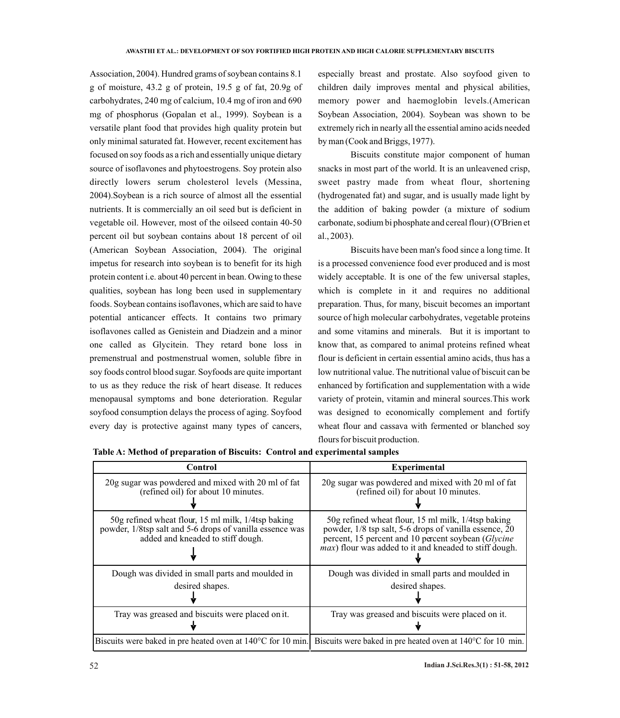Association, 2004). Hundred grams of soybean contains 8.1 g of moisture, 43.2 g of protein, 19.5 g of fat, 20.9g of carbohydrates, 240 mg of calcium, 10.4 mg of iron and 690 mg of phosphorus (Gopalan et al., 1999). Soybean is a versatile plant food that provides high quality protein but only minimal saturated fat. However, recent excitement has focused on soy foods as a rich and essentially unique dietary source of isoflavones and phytoestrogens. Soy protein also directly lowers serum cholesterol levels (Messina, 2004).Soybean is a rich source of almost all the essential nutrients. It is commercially an oil seed but is deficient in vegetable oil. However, most of the oilseed contain 40-50 percent oil but soybean contains about 18 percent of oil (American Soybean Association, 2004). The original impetus for research into soybean is to benefit for its high protein content i.e. about 40 percent in bean. Owing to these qualities, soybean has long been used in supplementary foods. Soybean contains isoflavones, which are said to have potential anticancer effects. It contains two primary isoflavones called as Genistein and Diadzein and a minor one called as Glycitein. They retard bone loss in premenstrual and postmenstrual women, soluble fibre in soy foods control blood sugar. Soyfoods are quite important to us as they reduce the risk of heart disease. It reduces menopausal symptoms and bone deterioration. Regular soyfood consumption delays the process of aging. Soyfood every day is protective against many types of cancers,

especially breast and prostate. Also soyfood given to children daily improves mental and physical abilities, memory power and haemoglobin levels.(American Soybean Association, 2004). Soybean was shown to be extremely rich in nearly all the essential amino acids needed by man (Cook and Briggs, 1977).

Biscuits constitute major component of human snacks in most part of the world. It is an unleavened crisp, sweet pastry made from wheat flour, shortening (hydrogenated fat) and sugar, and is usually made light by the addition of baking powder (a mixture of sodium carbonate, sodium bi phosphate and cereal flour) (O'Brien et al., 2003).

Biscuits have been man's food since a long time. It is a processed convenience food ever produced and is most widely acceptable. It is one of the few universal staples, which is complete in it and requires no additional preparation. Thus, for many, biscuit becomes an important source of high molecular carbohydrates, vegetable proteins and some vitamins and minerals. But it is important to know that, as compared to animal proteins refined wheat flour is deficient in certain essential amino acids, thus has a low nutritional value. The nutritional value of biscuit can be enhanced by fortification and supplementation with a wide variety of protein, vitamin and mineral sources.This work was designed to economically complement and fortify wheat flour and cassava with fermented or blanched soy flours for biscuit production.

| Control                                                                                                                                             | <b>Experimental</b>                                                                                                                                                                                                                   |
|-----------------------------------------------------------------------------------------------------------------------------------------------------|---------------------------------------------------------------------------------------------------------------------------------------------------------------------------------------------------------------------------------------|
| 20g sugar was powdered and mixed with 20 ml of fat<br>(refined oil) for about 10 minutes.                                                           | 20g sugar was powdered and mixed with 20 ml of fat<br>(refined oil) for about 10 minutes.                                                                                                                                             |
| 50g refined wheat flour, 15 ml milk, 1/4tsp baking<br>powder, 1/8tsp salt and 5-6 drops of vanilla essence was<br>added and kneaded to stiff dough. | 50g refined wheat flour, 15 ml milk, 1/4tsp baking<br>powder, 1/8 tsp salt, 5-6 drops of vanilla essence, 20<br>percent, 15 percent and 10 percent soybean (Glycine<br><i>max</i> ) flour was added to it and kneaded to stiff dough. |
| Dough was divided in small parts and moulded in                                                                                                     | Dough was divided in small parts and moulded in                                                                                                                                                                                       |
| desired shapes.                                                                                                                                     | desired shapes.                                                                                                                                                                                                                       |
|                                                                                                                                                     |                                                                                                                                                                                                                                       |
| Tray was greased and biscuits were placed on it.                                                                                                    | Tray was greased and biscuits were placed on it.                                                                                                                                                                                      |
|                                                                                                                                                     | Biscuits were baked in pre heated oven at 140 °C for 10 min. Biscuits were baked in pre heated oven at 140 °C for 10 min.                                                                                                             |

**Table A: Method of preparation of Biscuits: Control and experimental samples**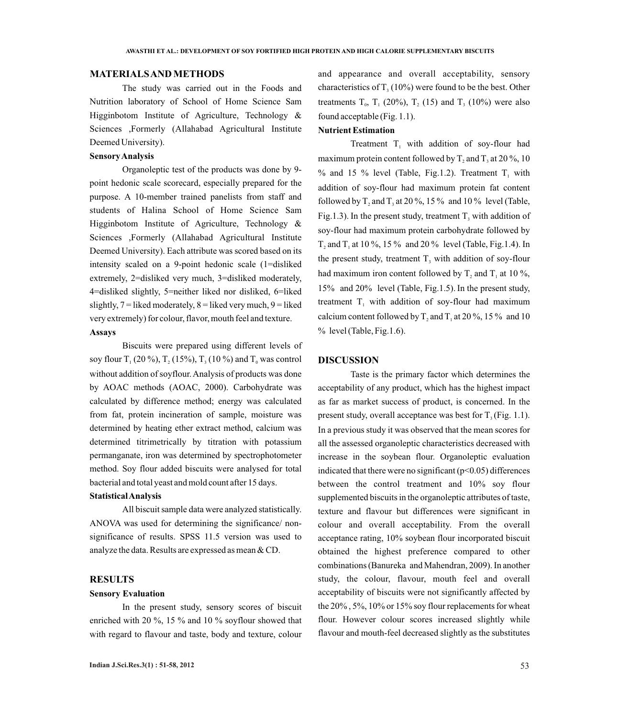# **MATERIALS AND METHODS**

The study was carried out in the Foods and Nutrition laboratory of School of Home Science Sam Higginbotom Institute of Agriculture, Technology & Sciences ,Formerly (Allahabad Agricultural Institute Deemed University).

### **Sensory Analysis**

Organoleptic test of the products was done by 9 point hedonic scale scorecard, especially prepared for the purpose. A 10-member trained panelists from staff and students of Halina School of Home Science Sam Higginbotom Institute of Agriculture, Technology & Sciences ,Formerly (Allahabad Agricultural Institute Deemed University). Each attribute was scored based on its intensity scaled on a 9-point hedonic scale (1=disliked extremely, 2=disliked very much, 3=disliked moderately, 4=disliked slightly, 5=neither liked nor disliked, 6=liked slightly,  $7 =$  liked moderately,  $8 =$  liked very much,  $9 =$  liked very extremely) for colour, flavor, mouth feel and texture.

### **Assays**

Biscuits were prepared using different levels of soy flour  $T_1$  (20 %),  $T_2$  (15%),  $T_3$  (10 %) and  $T_0$  was control without addition of soyflour. Analysis of products was done by AOAC methods (AOAC, 2000). Carbohydrate was calculated by difference method; energy was calculated from fat, protein incineration of sample, moisture was determined by heating ether extract method, calcium was determined titrimetrically by titration with potassium permanganate, iron was determined by spectrophotometer method. Soy flour added biscuits were analysed for total bacterial and total yeast and mold count after 15 days.

### **Statistical Analysis**

All biscuit sample data were analyzed statistically. ANOVA was used for determining the significance/ nonsignificance of results. SPSS 11.5 version was used to analyze the data. Results are expressed as mean & CD.

# **RESULTS**

## **Sensory Evaluation**

In the present study, sensory scores of biscuit enriched with 20 %, 15 % and 10 % soyflour showed that with regard to flavour and taste, body and texture, colour and appearance and overall acceptability, sensory characteristics of  $T_1(10\%)$  were found to be the best. Other treatments  $T_0$ ,  $T_1$  (20%),  $T_2$ , (15) and  $T_3$  (10%) were also found acceptable (Fig. 1.1).

## **Nutrient Estimation**

Treatment  $T_1$  with addition of soy-flour had maximum protein content followed by  $T_2$  and  $T_3$  at 20 %, 10 % and 15 % level (Table, Fig.1.2). Treatment  $T_1$  with addition of soy-flour had maximum protein fat content followed by T, and T, at 20 %, 15 % and 10 % level (Table, Fig.1.3). In the present study, treatment  $T_3$  with addition of soy-flour had maximum protein carbohydrate followed by T, and T<sub>1</sub> at 10 %, 15 % and 20 % level (Table, Fig. 1.4). In the present study, treatment  $T<sub>3</sub>$  with addition of soy-flour had maximum iron content followed by  $T_2$  and  $T_1$  at 10 %, 15% and 20% level (Table, Fig.1.5). In the present study, treatment  $T_1$  with addition of soy-flour had maximum calcium content followed by T, and T, at 20 %, 15 % and 10  $%$  level (Table, Fig. 1.6).

## **DISCUSSION**

Taste is the primary factor which determines the acceptability of any product, which has the highest impact as far as market success of product, is concerned. In the present study, overall acceptance was best for  $T_3$  (Fig. 1.1). In a previous study it was observed that the mean scores for all the assessed organoleptic characteristics decreased with increase in the soybean flour. Organoleptic evaluation indicated that there were no significant  $(p<0.05)$  differences between the control treatment and 10% soy flour supplemented biscuits in the organoleptic attributes of taste, texture and flavour but differences were significant in colour and overall acceptability. From the overall acceptance rating, 10% soybean flour incorporated biscuit obtained the highest preference compared to other combinations (Banureka and Mahendran, 2009). In another study, the colour, flavour, mouth feel and overall acceptability of biscuits were not significantly affected by the 20% , 5%, 10% or 15% soy flour replacements for wheat flour. However colour scores increased slightly while flavour and mouth-feel decreased slightly as the substitutes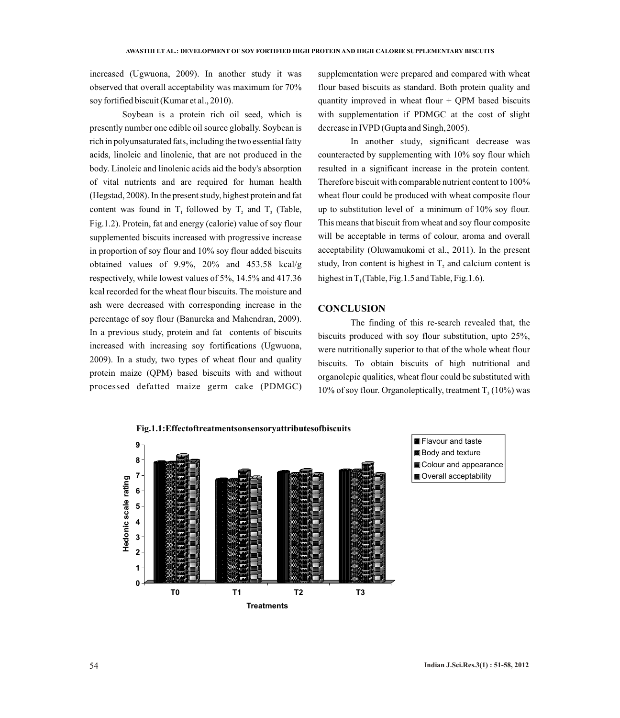increased (Ugwuona, 2009). In another study it was observed that overall acceptability was maximum for 70% soy fortified biscuit (Kumar et al., 2010).

Soybean is a protein rich oil seed, which is presently number one edible oil source globally. Soybean is rich in polyunsaturated fats, including the two essential fatty acids, linoleic and linolenic, that are not produced in the body. Linoleic and linolenic acids aid the body's absorption of vital nutrients and are required for human health (Hegstad, 2008). In the present study, highest protein and fat content was found in  $T_1$  followed by  $T_2$  and  $T_3$  (Table, Fig.1.2). Protein, fat and energy (calorie) value of soy flour supplemented biscuits increased with progressive increase in proportion of soy flour and 10% soy flour added biscuits obtained values of 9.9%, 20% and 453.58 kcal/g respectively, while lowest values of 5%, 14.5% and 417.36 kcal recorded for the wheat flour biscuits. The moisture and ash were decreased with corresponding increase in the percentage of soy flour (Banureka and Mahendran, 2009). In a previous study, protein and fat contents of biscuits increased with increasing soy fortifications (Ugwuona, 2009). In a study, two types of wheat flour and quality protein maize (QPM) based biscuits with and without processed defatted maize germ cake (PDMGC)

supplementation were prepared and compared with wheat flour based biscuits as standard. Both protein quality and quantity improved in wheat flour  $+$  QPM based biscuits with supplementation if PDMGC at the cost of slight decrease in IVPD (Gupta and Singh,2005).

In another study, significant decrease was counteracted by supplementing with 10% soy flour which resulted in a significant increase in the protein content. Therefore biscuit with comparable nutrient content to 100% wheat flour could be produced with wheat composite flour up to substitution level of a minimum of 10% soy flour. This means that biscuit from wheat and soy flour composite will be acceptable in terms of colour, aroma and overall acceptability (Oluwamukomi et al., 2011). In the present study, Iron content is highest in  $T<sub>2</sub>$  and calcium content is highest in  $T_1$  (Table, Fig.1.5 and Table, Fig.1.6).

## **CONCLUSION**

The finding of this re-search revealed that, the biscuits produced with soy flour substitution, upto 25%, were nutritionally superior to that of the whole wheat flour biscuits. To obtain biscuits of high nutritional and organolepic qualities, wheat flour could be substituted with  $10\%$  of soy flour. Organoleptically, treatment  $T<sub>3</sub>$  (10%) was

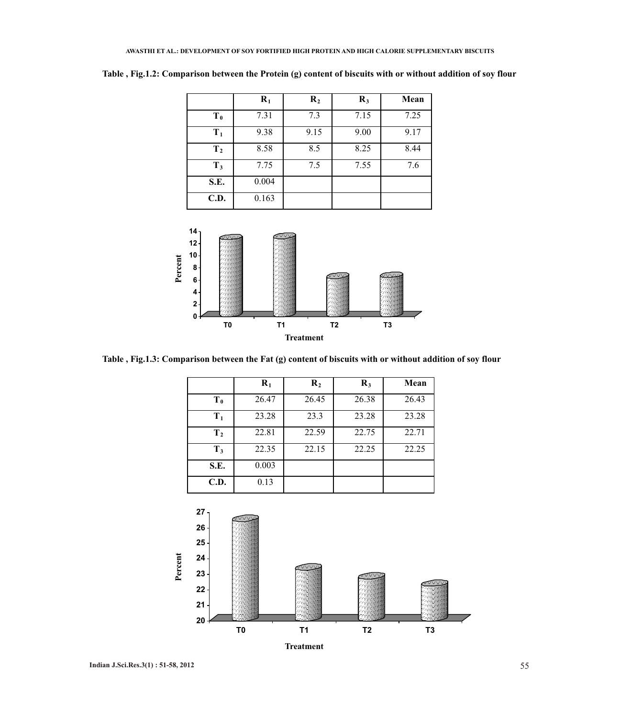|                | $R_1$ | $\mathbf{R}_2$ | $R_3$ | Mean |
|----------------|-------|----------------|-------|------|
| $T_{0}$        | 7.31  | 7.3            | 7.15  | 7.25 |
| $T_1$          | 9.38  | 9.15           | 9.00  | 9.17 |
| T <sub>2</sub> | 8.58  | 8.5            | 8.25  | 8.44 |
| $T_3$          | 7.75  | 7.5            | 7.55  | 7.6  |
| S.E.           | 0.004 |                |       |      |
| C.D.           | 0.163 |                |       |      |

**Table , Fig.1.2: Comparison between the Protein (g) content of biscuits with or without addition of soy flour**



**Table , Fig.1.3: Comparison between the Fat (g) content of biscuits with or without addition of soy flour**

|                | $\mathbf{R}_1$ | $\mathbf{R}_2$ | $\mathbf{R}_3$ | Mean  |
|----------------|----------------|----------------|----------------|-------|
| $T_0$          | 26.47          | 26.45          | 26.38          | 26.43 |
| $T_1$          | 23.28          | 23.3           | 23.28          | 23.28 |
| T <sub>2</sub> | 22.81          | 22.59          | 22.75          | 22.71 |
| $T_3$          | 22.35          | 22.15          | 22.25          | 22.25 |
| S.E.           | 0.003          |                |                |       |
| C.D.           | 0.13           |                |                |       |

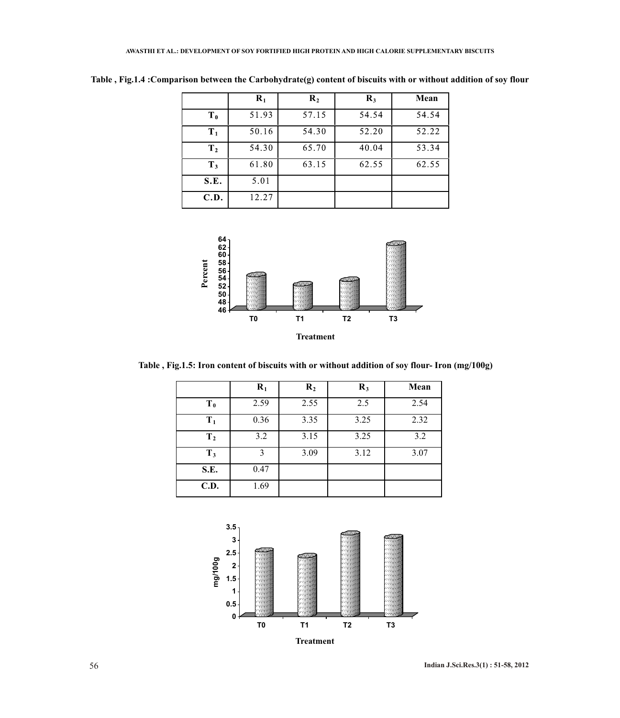|                | $\mathbf{R}_1$ | $\mathbf{R}_2$ | $\mathbf{R}_3$ | Mean  |
|----------------|----------------|----------------|----------------|-------|
| T <sub>0</sub> | 51.93          | 57.15          | 54.54          | 54.54 |
| $T_1$          | 50.16          | 54.30          | 52.20          | 52.22 |
| T <sub>2</sub> | 54.30          | 65.70          | 40.04          | 53.34 |
| $T_3$          | 61.80          | 63.15          | 62.55          | 62.55 |
| S.E.           | 5.01           |                |                |       |
| C.D.           | 12.27          |                |                |       |

**Table , Fig.1.4 :Comparison between the Carbohydrate(g) content of biscuits with or without addition of soy flour**



**Table , Fig.1.5: Iron content of biscuits with or without addition of soy flour- Iron (mg/100g)**

|                | $\mathbf{R}_1$ | $\mathbf{R}_2$ | $\mathbf{R}_3$ | Mean |
|----------------|----------------|----------------|----------------|------|
| $T_0$          | 2.59           | 2.55           | 2.5            | 2.54 |
| $T_1$          | 0.36           | 3.35           | 3.25           | 2.32 |
| T <sub>2</sub> | 3.2            | 3.15           | 3.25           | 3.2  |
| $T_3$          | 3              | 3.09           | 3.12           | 3.07 |
| S.E.           | 0.47           |                |                |      |
| <b>C.D.</b>    | 1.69           |                |                |      |

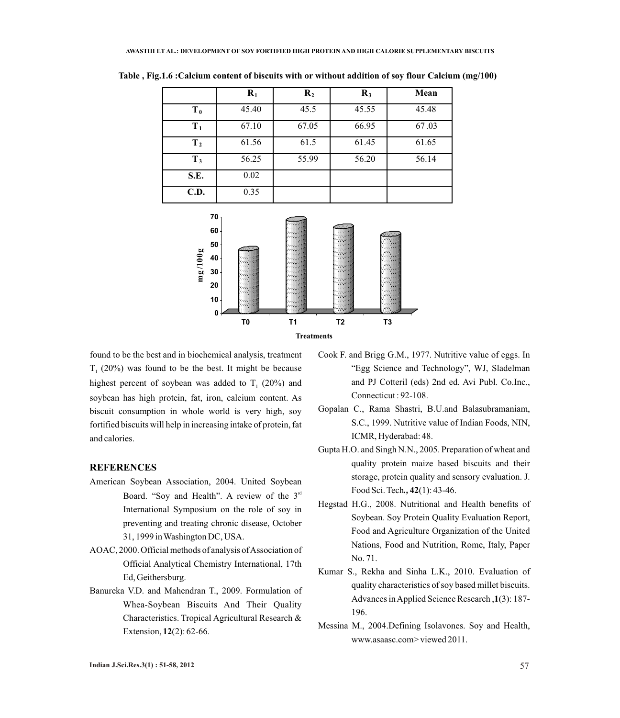|                | $R_1$ | $\mathbf{R}_2$ | $\mathbf{R}_3$ | Mean  |
|----------------|-------|----------------|----------------|-------|
| $T_0$          | 45.40 | 45.5           | 45.55          | 45.48 |
| $T_1$          | 67.10 | 67.05          | 66.95          | 67.03 |
| T <sub>2</sub> | 61.56 | 61.5           | 61.45          | 61.65 |
| $T_3$          | 56.25 | 55.99          | 56.20          | 56.14 |
| S.E.           | 0.02  |                |                |       |
| C.D.           | 0.35  |                |                |       |

**Table , Fig.1.6 :Calcium content of biscuits with or without addition of soy flour Calcium (mg/100)**



found to be the best and in biochemical analysis, treatment  $T<sub>1</sub>$  (20%) was found to be the best. It might be because highest percent of soybean was added to  $T<sub>1</sub>$  (20%) and soybean has high protein, fat, iron, calcium content. As biscuit consumption in whole world is very high, soy fortified biscuits will help in increasing intake of protein, fat and calories.

# **REFERENCES**

- American Soybean Association, 2004. United Soybean Board. "Soy and Health". A review of the  $3<sup>rd</sup>$ International Symposium on the role of soy in preventing and treating chronic disease, October 31, 1999 in Washington DC, USA.
- AOAC, 2000. Official methods of analysis of Association of Official Analytical Chemistry International, 17th Ed, Geithersburg.
- Banureka V.D. and Mahendran T., 2009. Formulation of Whea-Soybean Biscuits And Their Quality Characteristics. Tropical Agricultural Research & Extension, **12**(2): 62-66.
- Cook F. and Brigg G.M., 1977. Nutritive value of eggs. In "Egg Science and Technology", WJ, Sladelman and PJ Cotteril (eds) 2nd ed. Avi Publ. Co.Inc., Connecticut : 92-108.
- Gopalan C., Rama Shastri, B.U.and Balasubramaniam, S.C., 1999. Nutritive value of Indian Foods, NIN, ICMR, Hyderabad: 48.
- Gupta H.O. and Singh N.N., 2005. Preparation of wheat and quality protein maize based biscuits and their storage, protein quality and sensory evaluation. J. Food Sci. Tech*.,* **42**(1): 43-46.
- Hegstad H.G., 2008. Nutritional and Health benefits of Soybean. Soy Protein Quality Evaluation Report, Food and Agriculture Organization of the United Nations, Food and Nutrition, Rome, Italy, Paper No. 71.
- Kumar S., Rekha and Sinha L.K., 2010. Evaluation of quality characteristics of soy based millet biscuits. Advances in Applied Science Research ,**1**(3): 187- 196.
- Messina M., 2004.Defining Isolavones. Soy and Health, www.asaasc.com> viewed 2011.